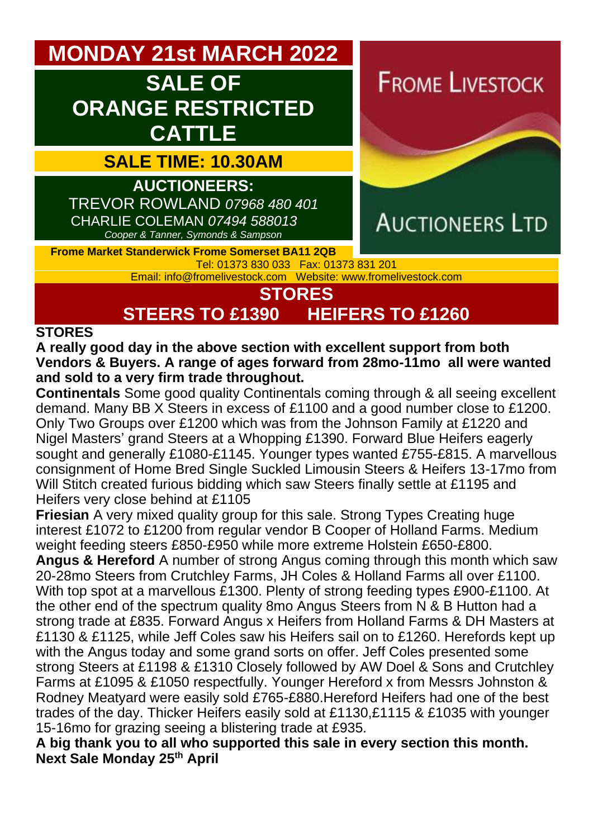# **MONDAY 21st MARCH 2022**

# **SALE OF ORANGE RESTRICTED CATTLE**

## **SALE TIME: 10.30AM**

**AUCTIONEERS:**  TREVOR ROWLAND *07968 480 401* CHARLIE COLEMAN *07494 588013 Cooper & Tanner, Symonds & Sampson*

**FROME LIVESTOCK** 



**Frome Market Standerwick Frome Somerset BA11 2QB** Tel: 01373 830 033 Fax: 01373 831 201

Email: [info@fromelivestock.com](mailto:info@fromelivestock.com) Website: [www.fromelivestock.com](http://www.fromelivestock.com/)

### **STORES**

**STEERS TO £1390 HEIFERS TO £1260**

#### **STORES**

**A really good day in the above section with excellent support from both Vendors & Buyers. A range of ages forward from 28mo-11mo all were wanted and sold to a very firm trade throughout.**

**Continentals** Some good quality Continentals coming through & all seeing excellent demand. Many BB X Steers in excess of £1100 and a good number close to £1200. Only Two Groups over £1200 which was from the Johnson Family at £1220 and Nigel Masters' grand Steers at a Whopping £1390. Forward Blue Heifers eagerly sought and generally £1080-£1145. Younger types wanted £755-£815. A marvellous consignment of Home Bred Single Suckled Limousin Steers & Heifers 13-17mo from Will Stitch created furious bidding which saw Steers finally settle at £1195 and Heifers very close behind at £1105

**Friesian** A very mixed quality group for this sale. Strong Types Creating huge interest £1072 to £1200 from regular vendor B Cooper of Holland Farms. Medium weight feeding steers £850-£950 while more extreme Holstein £650-£800.

**Angus & Hereford** A number of strong Angus coming through this month which saw 20-28mo Steers from Crutchley Farms, JH Coles & Holland Farms all over £1100. With top spot at a marvellous £1300. Plenty of strong feeding types £900-£1100. At the other end of the spectrum quality 8mo Angus Steers from N & B Hutton had a strong trade at £835. Forward Angus x Heifers from Holland Farms & DH Masters at £1130 & £1125, while Jeff Coles saw his Heifers sail on to £1260. Herefords kept up with the Angus today and some grand sorts on offer. Jeff Coles presented some strong Steers at £1198 & £1310 Closely followed by AW Doel & Sons and Crutchley Farms at £1095 & £1050 respectfully. Younger Hereford x from Messrs Johnston & Rodney Meatyard were easily sold £765-£880.Hereford Heifers had one of the best trades of the day. Thicker Heifers easily sold at £1130,£1115 & £1035 with younger 15-16mo for grazing seeing a blistering trade at £935.

**A big thank you to all who supported this sale in every section this month. Next Sale Monday 25th April**